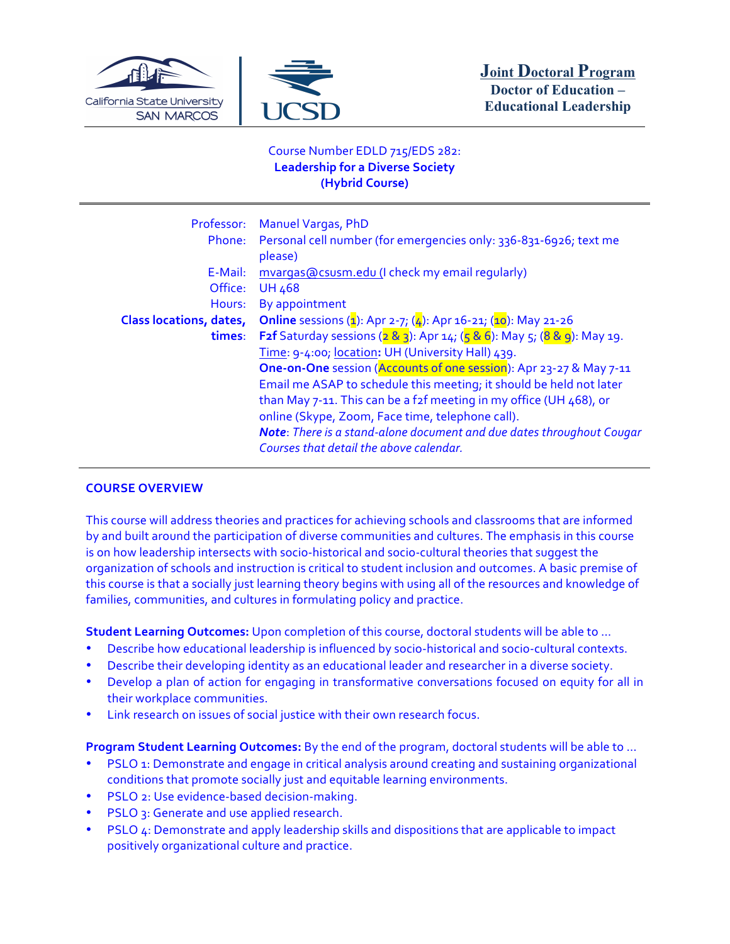



# Course Number EDLD 715/EDS 282: **Leadership for a Diverse Society (Hybrid Course)**

| Phone:                         | Professor: Manuel Vargas, PhD<br>Personal cell number (for emergencies only: 336-831-6926; text me<br>please)          |
|--------------------------------|------------------------------------------------------------------------------------------------------------------------|
| E-Mail:                        | mvargas@csusm.edu (I check my email regularly)                                                                         |
| Office:                        | <b>UH 468</b>                                                                                                          |
| Hours:                         | By appointment                                                                                                         |
| <b>Class locations, dates,</b> | <b>Online</b> sessions ( $\frac{1}{2}$ ): Apr 2-7; ( $\frac{1}{4}$ ): Apr 16-21; ( $\frac{1}{10}$ ): May 21-26         |
| times:                         | <b>F2f</b> Saturday sessions ( $2 \& 3$ ): Apr 14; ( $5 \& 6$ ): May 5; ( $8 \& 9$ ): May 19.                          |
|                                | Time: 9-4:00; location: UH (University Hall) 439.                                                                      |
|                                | One-on-One session (Accounts of one session): Apr 23-27 & May 7-11                                                     |
|                                | Email me ASAP to schedule this meeting; it should be held not later                                                    |
|                                | than May 7-11. This can be a f2f meeting in my office (UH 468), or<br>online (Skype, Zoom, Face time, telephone call). |
|                                | Note: There is a stand-alone document and due dates throughout Cougar                                                  |
|                                | Courses that detail the above calendar.                                                                                |

# **COURSE OVERVIEW**

This course will address theories and practices for achieving schools and classrooms that are informed by and built around the participation of diverse communities and cultures. The emphasis in this course is on how leadership intersects with socio-historical and socio-cultural theories that suggest the organization of schools and instruction is critical to student inclusion and outcomes. A basic premise of this course is that a socially just learning theory begins with using all of the resources and knowledge of families, communities, and cultures in formulating policy and practice.

**Student Learning Outcomes:** Upon completion of this course, doctoral students will be able to ...

- Describe how educational leadership is influenced by socio-historical and socio-cultural contexts.
- Describe their developing identity as an educational leader and researcher in a diverse society.
- Develop a plan of action for engaging in transformative conversations focused on equity for all in their workplace communities.
- Link research on issues of social justice with their own research focus.

**Program Student Learning Outcomes:** By the end of the program, doctoral students will be able to ...

- PSLO 1: Demonstrate and engage in critical analysis around creating and sustaining organizational conditions that promote socially just and equitable learning environments.
- PSLO 2: Use evidence-based decision-making.
- PSLO 3: Generate and use applied research.
- PSLO 4: Demonstrate and apply leadership skills and dispositions that are applicable to impact positively organizational culture and practice.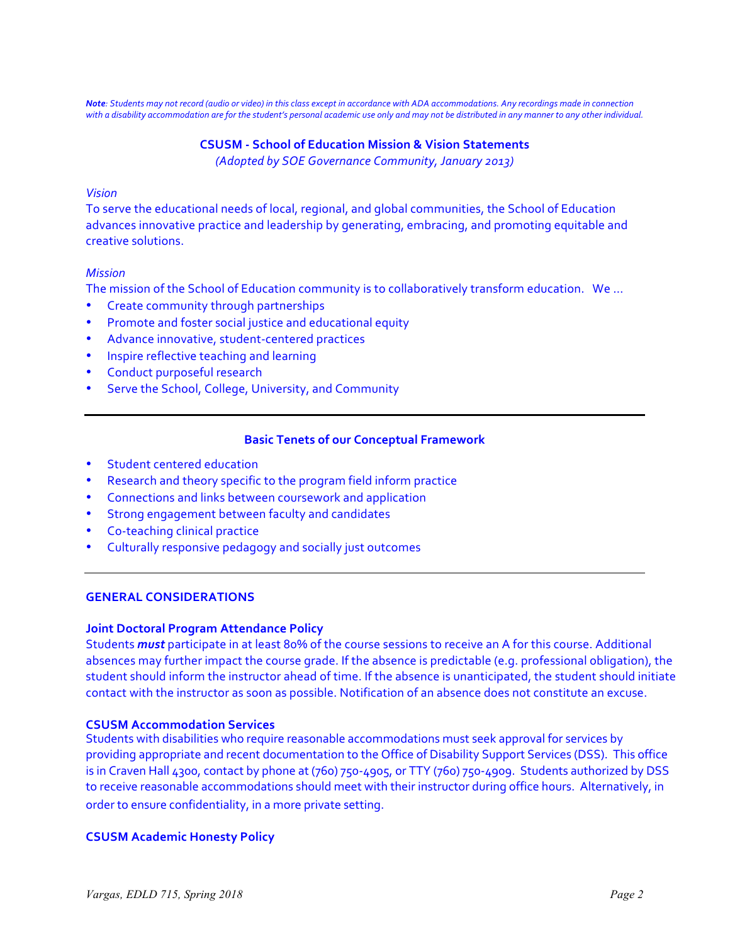*Note*: Students may not record (audio or video) in this class except in accordance with ADA accommodations. Any recordings made in connection with a disability accommodation are for the student's personal academic use only and may not be distributed in any manner to any other individual.

## **CSUSM - School of Education Mission & Vision Statements** *(Adopted by SOE Governance Community, January 2013)*

### *Vision*

To serve the educational needs of local, regional, and global communities, the School of Education advances innovative practice and leadership by generating, embracing, and promoting equitable and creative solutions.

### *Mission*

The mission of the School of Education community is to collaboratively transform education. We ...

- Create community through partnerships
- Promote and foster social justice and educational equity
- Advance innovative, student-centered practices
- Inspire reflective teaching and learning
- Conduct purposeful research
- Serve the School, College, University, and Community

### **Basic Tenets of our Conceptual Framework**

- Student centered education
- Research and theory specific to the program field inform practice
- Connections and links between coursework and application
- Strong engagement between faculty and candidates
- Co-teaching clinical practice
- Culturally responsive pedagogy and socially just outcomes

### **GENERAL CONSIDERATIONS**

#### **Joint Doctoral Program Attendance Policy**

Students *must* participate in at least 80% of the course sessions to receive an A for this course. Additional absences may further impact the course grade. If the absence is predictable (e.g. professional obligation), the student should inform the instructor ahead of time. If the absence is unanticipated, the student should initiate contact with the instructor as soon as possible. Notification of an absence does not constitute an excuse.

#### **CSUSM Accommodation Services**

Students with disabilities who require reasonable accommodations must seek approval for services by providing appropriate and recent documentation to the Office of Disability Support Services (DSS). This office is in Craven Hall 4300, contact by phone at (760) 750-4905, or TTY (760) 750-4909. Students authorized by DSS to receive reasonable accommodations should meet with their instructor during office hours. Alternatively, in order to ensure confidentiality, in a more private setting.

#### **CSUSM Academic Honesty Policy**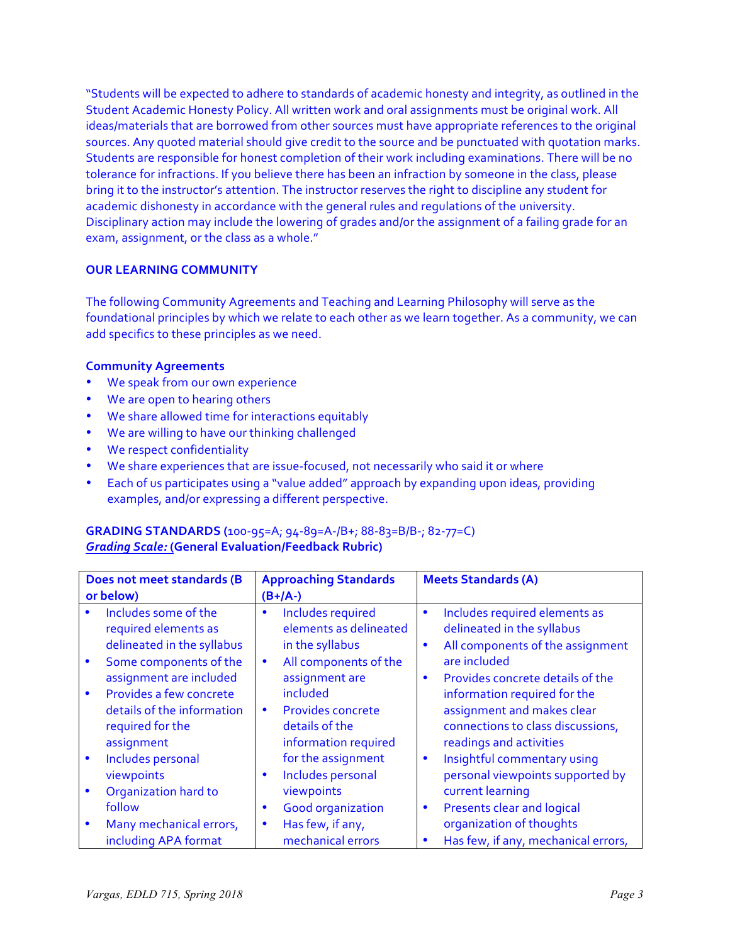"Students will be expected to adhere to standards of academic honesty and integrity, as outlined in the Student Academic Honesty Policy. All written work and oral assignments must be original work. All ideas/materials that are borrowed from other sources must have appropriate references to the original sources. Any quoted material should give credit to the source and be punctuated with quotation marks. Students are responsible for honest completion of their work including examinations. There will be no tolerance for infractions. If you believe there has been an infraction by someone in the class, please bring it to the instructor's attention. The instructor reserves the right to discipline any student for academic dishonesty in accordance with the general rules and regulations of the university. Disciplinary action may include the lowering of grades and/or the assignment of a failing grade for an exam, assignment, or the class as a whole."

### **OUR LEARNING COMMUNITY**

The following Community Agreements and Teaching and Learning Philosophy will serve as the foundational principles by which we relate to each other as we learn together. As a community, we can add specifics to these principles as we need.

### **Community Agreements**

- We speak from our own experience
- We are open to hearing others
- We share allowed time for interactions equitably
- We are willing to have our thinking challenged
- We respect confidentiality
- We share experiences that are issue-focused, not necessarily who said it or where
- Each of us participates using a "value added" approach by expanding upon ideas, providing examples, and/or expressing a different perspective.

## **GRADING STANDARDS (**100-95=A; 94-89=A-/B+; 88-83=B/B-; 82-77=C) *Grading Scale:* **(General Evaluation/Feedback Rubric)**

| Does not meet standards (B<br>or below)                                                                            | <b>Approaching Standards</b><br>$(B+/A-)$                                                                         | <b>Meets Standards (A)</b>                                                                                                                                                  |
|--------------------------------------------------------------------------------------------------------------------|-------------------------------------------------------------------------------------------------------------------|-----------------------------------------------------------------------------------------------------------------------------------------------------------------------------|
| Includes some of the<br>required elements as<br>delineated in the syllabus<br>Some components of the               | Includes required<br>$\bullet$<br>elements as delineated<br>in the syllabus<br>All components of the<br>$\bullet$ | Includes required elements as<br>$\bullet$<br>delineated in the syllabus<br>All components of the assignment<br>$\bullet$<br>are included                                   |
| assignment are included<br>Provides a few concrete<br>details of the information<br>required for the<br>assignment | assignment are<br>included<br><b>Provides concrete</b><br>$\bullet$<br>details of the<br>information required     | Provides concrete details of the<br>$\bullet$<br>information required for the<br>assignment and makes clear<br>connections to class discussions,<br>readings and activities |
| Includes personal<br>viewpoints                                                                                    | for the assignment<br>Includes personal<br>$\bullet$                                                              | Insightful commentary using<br>$\bullet$<br>personal viewpoints supported by                                                                                                |
| Organization hard to<br>follow                                                                                     | viewpoints<br><b>Good organization</b><br>٠                                                                       | current learning<br><b>Presents clear and logical</b><br>$\bullet$                                                                                                          |
| Many mechanical errors,<br>including APA format                                                                    | Has few, if any,<br>$\bullet$<br>mechanical errors                                                                | organization of thoughts<br>Has few, if any, mechanical errors,<br>$\bullet$                                                                                                |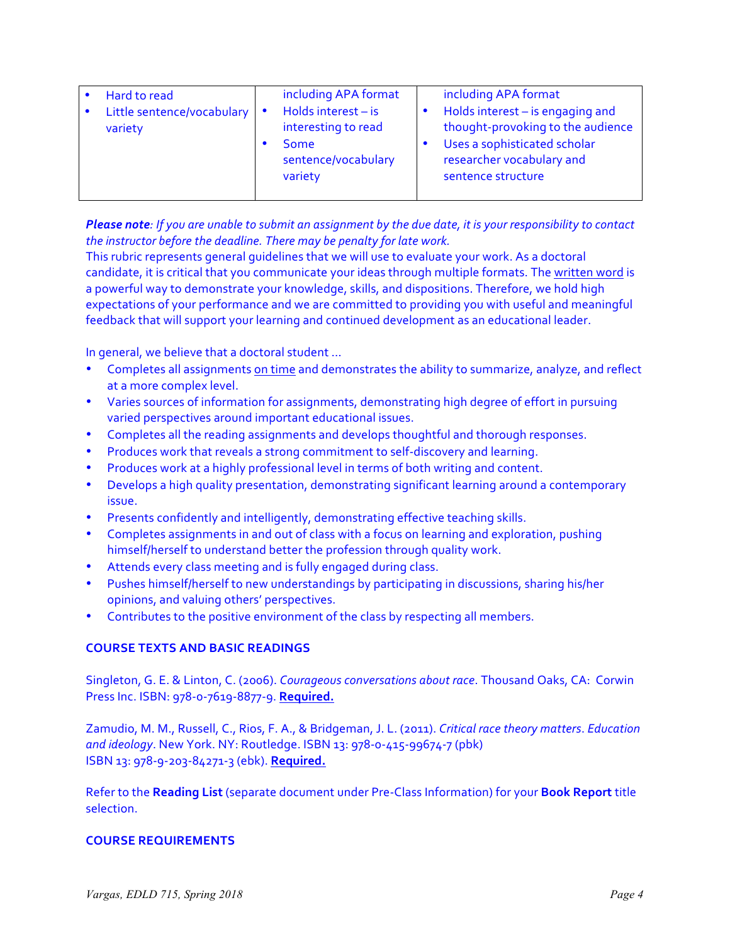| Hard to read<br>Little sentence/vocabulary   •<br>variety | including APA format<br>Holds interest $-$ is<br>interesting to read<br>Some<br>sentence/vocabulary<br>variety | including APA format<br>Holds interest - is engaging and<br>thought-provoking to the audience<br>Uses a sophisticated scholar<br>researcher vocabulary and<br>sentence structure |
|-----------------------------------------------------------|----------------------------------------------------------------------------------------------------------------|----------------------------------------------------------------------------------------------------------------------------------------------------------------------------------|
|-----------------------------------------------------------|----------------------------------------------------------------------------------------------------------------|----------------------------------------------------------------------------------------------------------------------------------------------------------------------------------|

*Please note:* If you are unable to submit an assignment by the due date, it is your responsibility to contact *the instructor before the deadline. There may be penalty for late work.* 

This rubric represents general quidelines that we will use to evaluate your work. As a doctoral candidate, it is critical that you communicate your ideas through multiple formats. The written word is a powerful way to demonstrate your knowledge, skills, and dispositions. Therefore, we hold high expectations of your performance and we are committed to providing you with useful and meaningful feedback that will support your learning and continued development as an educational leader.

In general, we believe that a doctoral student ...

- Completes all assignments on time and demonstrates the ability to summarize, analyze, and reflect at a more complex level.
- Varies sources of information for assignments, demonstrating high degree of effort in pursuing varied perspectives around important educational issues.
- Completes all the reading assignments and develops thoughtful and thorough responses.
- Produces work that reveals a strong commitment to self-discovery and learning.
- Produces work at a highly professional level in terms of both writing and content.
- Develops a high quality presentation, demonstrating significant learning around a contemporary issue.
- Presents confidently and intelligently, demonstrating effective teaching skills.
- Completes assignments in and out of class with a focus on learning and exploration, pushing himself/herself to understand better the profession through quality work.
- Attends every class meeting and is fully engaged during class.
- Pushes himself/herself to new understandings by participating in discussions, sharing his/her opinions, and valuing others' perspectives.
- Contributes to the positive environment of the class by respecting all members.

# **COURSE TEXTS AND BASIC READINGS**

Singleton, G. E. & Linton, C. (2006). *Courageous conversations about race*. Thousand Oaks, CA: Corwin Press Inc. ISBN: 978-0-7619-8877-9. **Required.**

Zamudio, M. M., Russell, C., Rios, F. A., & Bridgeman, J. L. (2011). *Critical race theory matters. Education* and *ideology*. New York. NY: Routledge. ISBN 13: 978-0-415-99674-7 (pbk) ISBN 13: 978-9-203-84271-3 (ebk). **Required.**

Refer to the Reading List (separate document under Pre-Class Information) for your **Book Report** title selection.

### **COURSE REQUIREMENTS**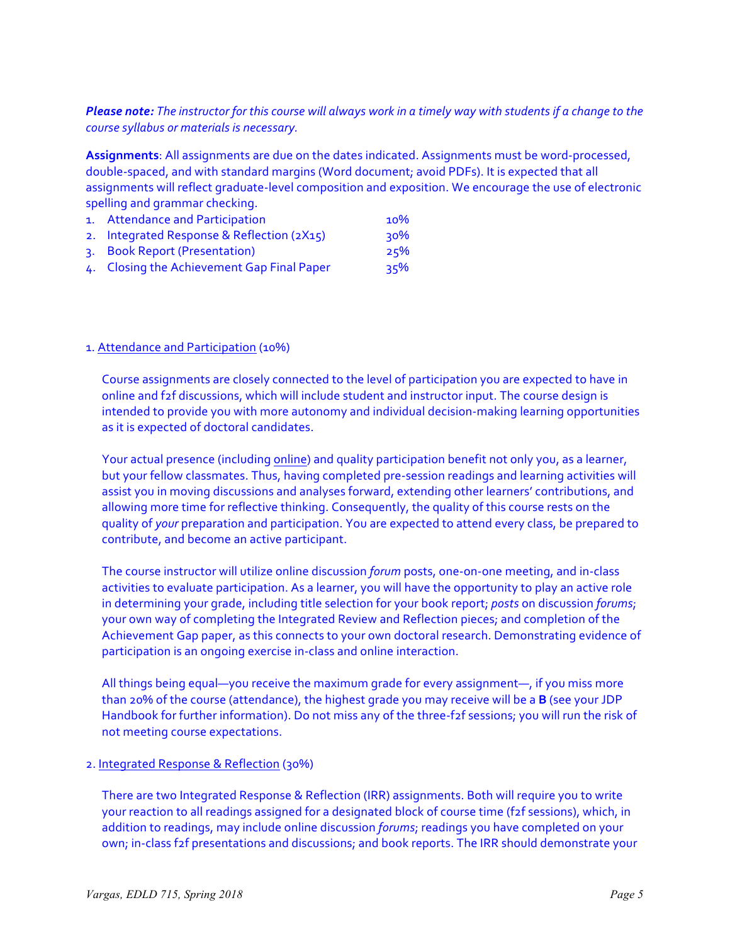# *Please note: The instructor for this course will always work in a timely way with students if a change to the course syllabus or materials is necessary.*

Assignments: All assignments are due on the dates indicated. Assignments must be word-processed, double-spaced, and with standard margins (Word document; avoid PDFs). It is expected that all assignments will reflect graduate-level composition and exposition. We encourage the use of electronic spelling and grammar checking.

- 1. Attendance and Participation 10% 2. Integrated Response & Reflection (2X15) 30%
- 3. Book Report (Presentation) 25%
- 4. Closing the Achievement Gap Final Paper 35%

## 1. Attendance and Participation (10%)

Course assignments are closely connected to the level of participation you are expected to have in online and f2f discussions, which will include student and instructor input. The course design is intended to provide you with more autonomy and individual decision-making learning opportunities as it is expected of doctoral candidates.

Your actual presence (including online) and quality participation benefit not only you, as a learner, but your fellow classmates. Thus, having completed pre-session readings and learning activities will assist you in moving discussions and analyses forward, extending other learners' contributions, and allowing more time for reflective thinking. Consequently, the quality of this course rests on the quality of your preparation and participation. You are expected to attend every class, be prepared to contribute, and become an active participant.

The course instructor will utilize online discussion *forum* posts, one-on-one meeting, and in-class activities to evaluate participation. As a learner, you will have the opportunity to play an active role in determining your grade, including title selection for your book report; *posts* on discussion *forums*; your own way of completing the Integrated Review and Reflection pieces; and completion of the Achievement Gap paper, as this connects to your own doctoral research. Demonstrating evidence of participation is an ongoing exercise in-class and online interaction.

All things being equal—you receive the maximum grade for every assignment—, if you miss more than 20% of the course (attendance), the highest grade you may receive will be a **B** (see your JDP Handbook for further information). Do not miss any of the three-f2f sessions; you will run the risk of not meeting course expectations.

### 2. Integrated Response & Reflection (30%)

There are two Integrated Response & Reflection (IRR) assignments. Both will require you to write your reaction to all readings assigned for a designated block of course time (f2f sessions), which, in addition to readings, may include online discussion *forums*; readings you have completed on your own; in-class f2f presentations and discussions; and book reports. The IRR should demonstrate your